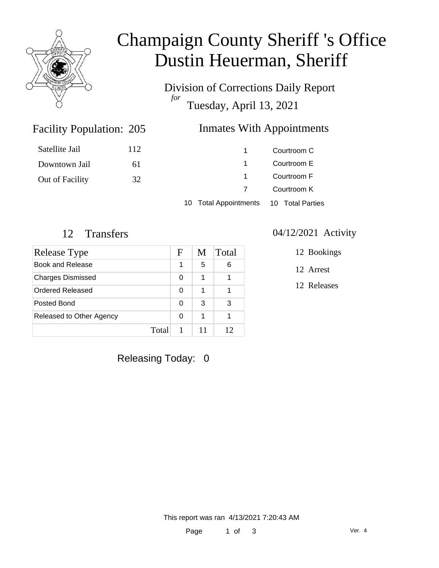

# Champaign County Sheriff 's Office Dustin Heuerman, Sheriff

Division of Corrections Daily Report *for* Tuesday, April 13, 2021

### Inmates With Appointments

| Satellite Jail  | 112 |                | Courtroom C |
|-----------------|-----|----------------|-------------|
| Downtown Jail   | 61  |                | Courtroom E |
| Out of Facility | 32  |                | Courtroom F |
|                 |     |                | Courtroom K |
|                 |     | $\blacksquare$ |             |

10 Total Appointments 10 Total Parties

Facility Population: 205

| Release Type             | F | M | Total |
|--------------------------|---|---|-------|
| Book and Release         |   | 5 | 6     |
| <b>Charges Dismissed</b> | 0 | 1 |       |
| Ordered Released         | 0 | 1 |       |
| Posted Bond              | 0 | 3 | 3     |
| Released to Other Agency | ∩ | 1 |       |
| Total                    |   |   | 12    |

# Releasing Today: 0

#### 12 Transfers 04/12/2021 Activity

12 Bookings

12 Arrest

12 Releases

This report was ran 4/13/2021 7:20:43 AM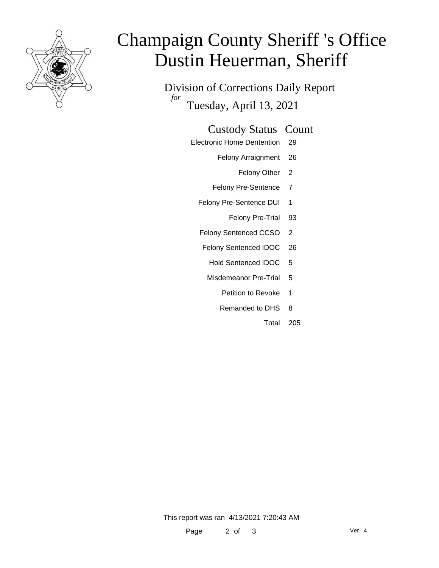

# Champaign County Sheriff 's Office Dustin Heuerman, Sheriff

Division of Corrections Daily Report *for* Tuesday, April 13, 2021

#### Custody Status Count

- Electronic Home Dentention 29
	- Felony Arraignment 26
		- Felony Other 2
	- Felony Pre-Sentence 7
	- Felony Pre-Sentence DUI 1
		- Felony Pre-Trial 93
	- Felony Sentenced CCSO 2
	- Felony Sentenced IDOC 26
		- Hold Sentenced IDOC 5
		- Misdemeanor Pre-Trial 5
			- Petition to Revoke 1
			- Remanded to DHS 8
				- Total 205

This report was ran 4/13/2021 7:20:43 AM